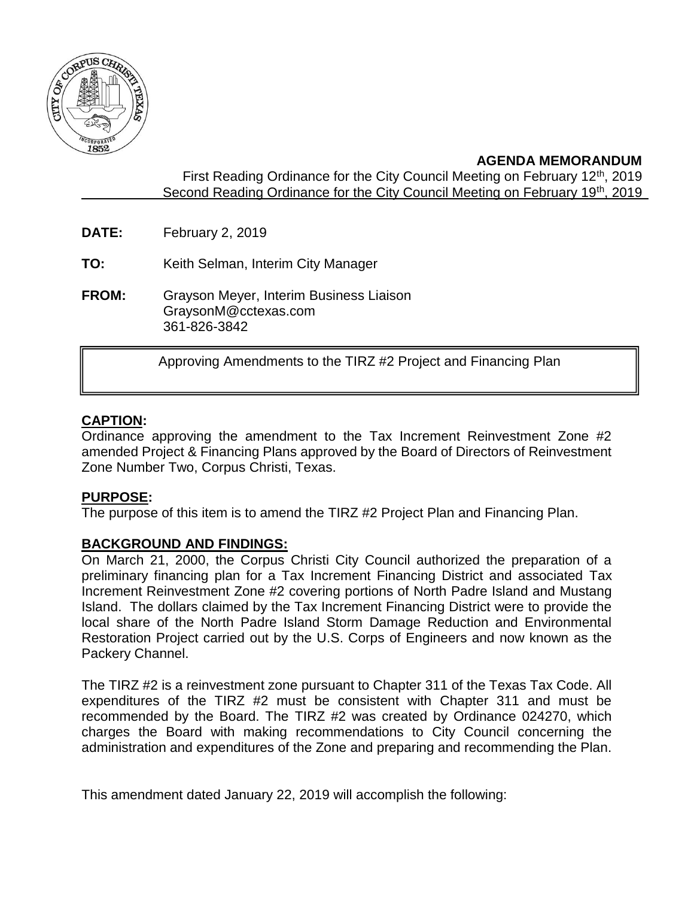

## **AGENDA MEMORANDUM**

First Reading Ordinance for the City Council Meeting on February 12<sup>th</sup>, 2019 Second Reading Ordinance for the City Council Meeting on February 19th, 2019

- **DATE:** February 2, 2019
- **TO:** Keith Selman, Interim City Manager
- **FROM:** Grayson Meyer, Interim Business Liaison GraysonM@cctexas.com 361-826-3842

Approving Amendments to the TIRZ #2 Project and Financing Plan

## **CAPTION:**

I

Ordinance approving the amendment to the Tax Increment Reinvestment Zone #2 amended Project & Financing Plans approved by the Board of Directors of Reinvestment Zone Number Two, Corpus Christi, Texas.

## **PURPOSE:**

The purpose of this item is to amend the TIRZ #2 Project Plan and Financing Plan.

## **BACKGROUND AND FINDINGS:**

On March 21, 2000, the Corpus Christi City Council authorized the preparation of a preliminary financing plan for a Tax Increment Financing District and associated Tax Increment Reinvestment Zone #2 covering portions of North Padre Island and Mustang Island. The dollars claimed by the Tax Increment Financing District were to provide the local share of the North Padre Island Storm Damage Reduction and Environmental Restoration Project carried out by the U.S. Corps of Engineers and now known as the Packery Channel.

The TIRZ #2 is a reinvestment zone pursuant to Chapter 311 of the Texas Tax Code. All expenditures of the TIRZ #2 must be consistent with Chapter 311 and must be recommended by the Board. The TIRZ #2 was created by Ordinance 024270, which charges the Board with making recommendations to City Council concerning the administration and expenditures of the Zone and preparing and recommending the Plan.

This amendment dated January 22, 2019 will accomplish the following: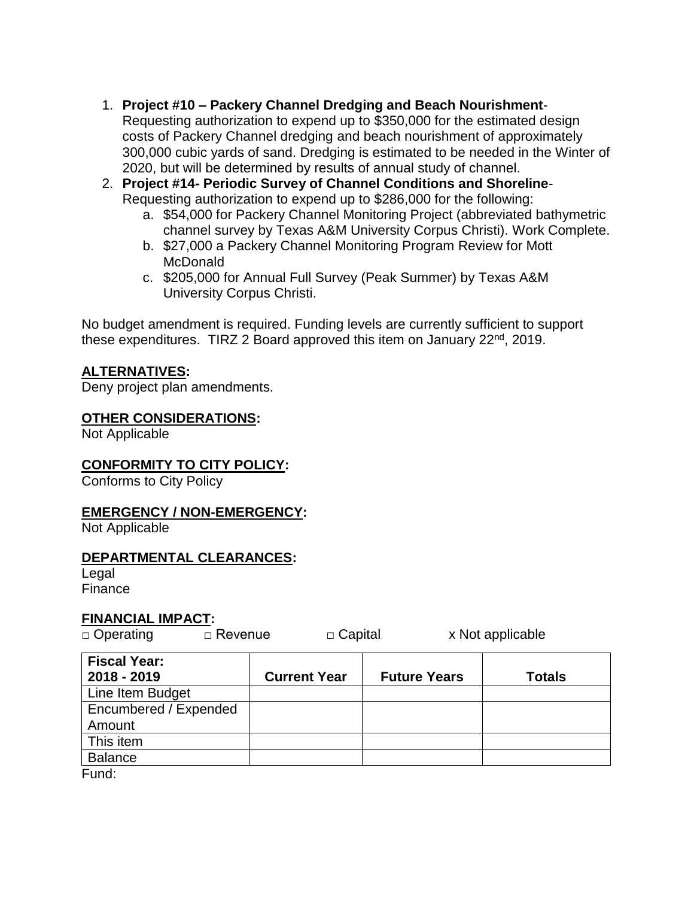- 1. **Project #10 – Packery Channel Dredging and Beach Nourishment**-Requesting authorization to expend up to \$350,000 for the estimated design costs of Packery Channel dredging and beach nourishment of approximately 300,000 cubic yards of sand. Dredging is estimated to be needed in the Winter of 2020, but will be determined by results of annual study of channel.
- 2. **Project #14- Periodic Survey of Channel Conditions and Shoreline**-Requesting authorization to expend up to \$286,000 for the following:
	- a. \$54,000 for Packery Channel Monitoring Project (abbreviated bathymetric channel survey by Texas A&M University Corpus Christi). Work Complete.
	- b. \$27,000 a Packery Channel Monitoring Program Review for Mott **McDonald**
	- c. \$205,000 for Annual Full Survey (Peak Summer) by Texas A&M University Corpus Christi.

No budget amendment is required. Funding levels are currently sufficient to support these expenditures. TIRZ 2 Board approved this item on January 22<sup>nd</sup>, 2019.

## **ALTERNATIVES:**

Deny project plan amendments.

#### **OTHER CONSIDERATIONS:**

Not Applicable

#### **CONFORMITY TO CITY POLICY:**

Conforms to City Policy

#### **EMERGENCY / NON-EMERGENCY:**

Not Applicable

#### **DEPARTMENTAL CLEARANCES:**

Legal **Finance** 

#### **FINANCIAL IMPACT:**

| $\Box$ Operating | $\Box$ Revenue | $\Box$ Capital | x Not applicable |  |
|------------------|----------------|----------------|------------------|--|
| Fieral Voar:     |                |                |                  |  |

 $\overline{\phantom{0}}$ 

| <b>Fiscal Year:</b>   |                     |                     |               |
|-----------------------|---------------------|---------------------|---------------|
| 2018 - 2019           | <b>Current Year</b> | <b>Future Years</b> | <b>Totals</b> |
| Line Item Budget      |                     |                     |               |
| Encumbered / Expended |                     |                     |               |
| Amount                |                     |                     |               |
| This item             |                     |                     |               |
| <b>Balance</b>        |                     |                     |               |
|                       |                     |                     |               |

Fund: